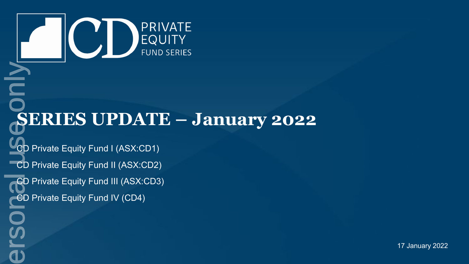

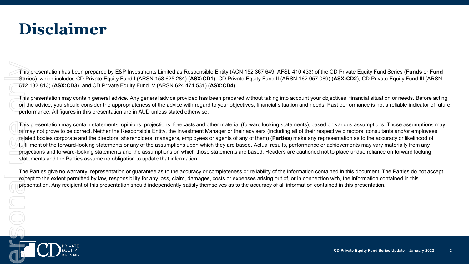### **Disclaimer**

This presentation has been prepared by E&P Investments Limited as Responsible Entity (ACN 152 367 649, AFSL 410 433) of the CD Private Equity Fund Series (**Funds** or **Fund Series**), which includes CD Private Equity Fund I (ARSN 158 625 284) (**ASX:CD1**), CD Private Equity Fund II (ARSN 162 057 089) (**ASX:CD2**), CD Private Equity Fund III (ARSN 612 132 813) (**ASX:CD3**), and CD Private Equity Fund IV (ARSN 624 474 531) (**ASX:CD4**).

This presentation may contain general advice. Any general advice provided has been prepared without taking into account your objectives, financial situation or needs. Before acting on the advice, you should consider the appropriateness of the advice with regard to your objectives, financial situation and needs. Past performance is not a reliable indicator of future performance. All figures in this presentation are in AUD unless stated otherwise.

This presentation may contain statements, opinions, projections, forecasts and other material (forward looking statements), based on various assumptions. Those assumptions may of may not prove to be correct. Neither the Responsible Entity, the Investment Manager or their advisers (including all of their respective directors, consultants and/or employees, related bodies corporate and the directors, shareholders, managers, employees or agents of any of them) (**Parties**) make any representation as to the accuracy or likelihood of fulfillment of the forward-looking statements or any of the assumptions upon which they are based. Actual results, performance or achievements may vary materially from any projections and forward-looking statements and the assumptions on which those statements are based. Readers are cautioned not to place undue reliance on forward looking statements and the Parties assume no obligation to update that information.

The Parties give no warranty, representation or guarantee as to the accuracy or completeness or reliability of the information contained in this document. The Parties do not accept, except to the extent permitted by law, responsibility for any loss, claim, damages, costs or expenses arising out of, or in connection with, the information contained in this presentation. Any recipient of this presentation should independently satisfy themselves as to the accuracy of all information contained in this presentation.

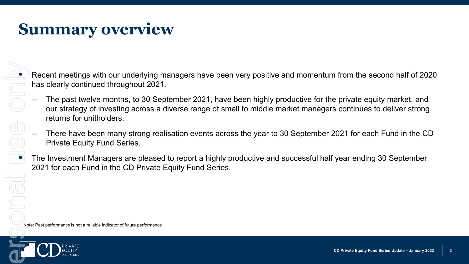## **Summary overview**

 Recent meetings with our underlying managers have been very positive and momentum from the second half of 2020 has clearly continued throughout 2021.

- ‒ The past twelve months, to 30 September 2021, have been highly productive for the private equity market, and our strategy of investing across a diverse range of small to middle market managers continues to deliver strong returns for unitholders. Note: Past performance is not a reliable indicator of future performance<br>
Note: Past performance is not a reliable indicator of future performance<br>
Note: Past performance is not a reliable indicator of future performance<br>
	- ‒ There have been many strong realisation events across the year to 30 September 2021 for each Fund in the CD Private Equity Fund Series.

 The Investment Managers are pleased to report a highly productive and successful half year ending 30 September 2021 for each Fund in the CD Private Equity Fund Series.

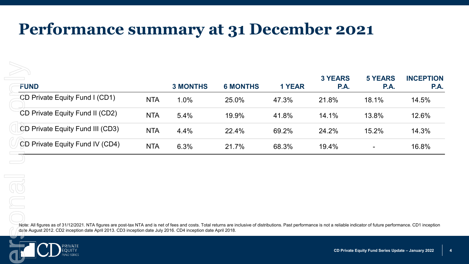### **Performance summary at 31 December 2021**

| <b>FUND</b>                                                                                                                                                                                                                                                                                                                                     |            | <b>3 MONTHS</b> | <b>6 MONTHS</b> | <b>1 YEAR</b> | <b>3 YEARS</b><br>P.A. | <b>5 YEARS</b><br><b>P.A.</b>                       | <b>INCEPTION</b><br>P.A. |
|-------------------------------------------------------------------------------------------------------------------------------------------------------------------------------------------------------------------------------------------------------------------------------------------------------------------------------------------------|------------|-----------------|-----------------|---------------|------------------------|-----------------------------------------------------|--------------------------|
| CD Private Equity Fund I (CD1)                                                                                                                                                                                                                                                                                                                  | <b>NTA</b> | 1.0%            | 25.0%           | 47.3%         | 21.8%                  | 18.1%                                               | 14.5%                    |
| CD Private Equity Fund II (CD2)                                                                                                                                                                                                                                                                                                                 | <b>NTA</b> | 5.4%            | 19.9%           | 41.8%         | 14.1%                  | 13.8%                                               | 12.6%                    |
| CD Private Equity Fund III (CD3)                                                                                                                                                                                                                                                                                                                | <b>NTA</b> | 4.4%            | 22.4%           | 69.2%         | 24.2%                  | 15.2%                                               | 14.3%                    |
| CD Private Equity Fund IV (CD4)                                                                                                                                                                                                                                                                                                                 | <b>NTA</b> | 6.3%            | 21.7%           | 68.3%         | 19.4%                  | $\overline{\phantom{a}}$                            | 16.8%                    |
|                                                                                                                                                                                                                                                                                                                                                 |            |                 |                 |               |                        |                                                     |                          |
|                                                                                                                                                                                                                                                                                                                                                 |            |                 |                 |               |                        |                                                     |                          |
| OO                                                                                                                                                                                                                                                                                                                                              |            |                 |                 |               |                        |                                                     |                          |
|                                                                                                                                                                                                                                                                                                                                                 |            |                 |                 |               |                        |                                                     |                          |
| Note: All figures as of 31/12/2021. NTA figures are post-tax NTA and is net of fees and costs. Total returns are inclusive of distributions. Past performance is not a reliable indicator of future performance. CD1 inception<br>date August 2012. CD2 inception date April 2013. CD3 inception date July 2016. CD4 inception date April 2018. |            |                 |                 |               |                        |                                                     |                          |
|                                                                                                                                                                                                                                                                                                                                                 |            |                 |                 |               |                        | CD Private Equity Fund Series Update - January 2022 |                          |
| PRIVAT <mark>E</mark><br>EQUITY                                                                                                                                                                                                                                                                                                                 |            |                 |                 |               |                        |                                                     |                          |

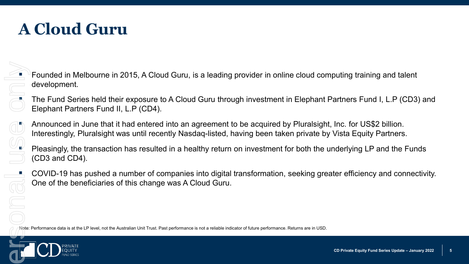# **A Cloud Guru**

 Founded in Melbourne in 2015, A Cloud Guru, is a leading provider in online cloud computing training and talent development.

 The Fund Series held their exposure to A Cloud Guru through investment in Elephant Partners Fund I, L.P (CD3) and Elephant Partners Fund II, L.P (CD4).

 Announced in June that it had entered into an agreement to be acquired by Pluralsight, Inc. for US\$2 billion. Interestingly, Pluralsight was until recently Nasdaq-listed, having been taken private by Vista Equity Partners. Founded in Melbourne in 2015, A Cloud Guru, is a leading provider in online cloud condevelopment.<br>
The Fund Series held their exposure to A Cloud Guru through investment in Elephant Elephant Partners Fund II, L.P (CD4).<br>

 Pleasingly, the transaction has resulted in a healthy return on investment for both the underlying LP and the Funds (CD3 and CD4).

 COVID-19 has pushed a number of companies into digital transformation, seeking greater efficiency and connectivity. One of the beneficiaries of this change was A Cloud Guru.

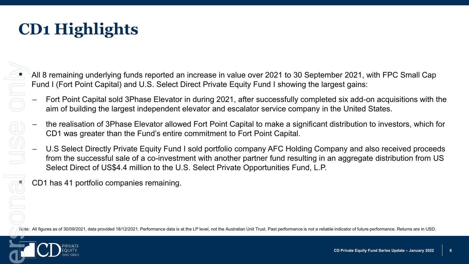- All 8 remaining underlying funds reported an increase in value over 2021 to 30 September 2021, with FPC Small Cap Fund I (Fort Point Capital) and U.S. Select Direct Private Equity Fund I showing the largest gains:
- ‒ Fort Point Capital sold 3Phase Elevator in during 2021, after successfully completed six add-on acquisitions with the aim of building the largest independent elevator and escalator service company in the United States.
- ‒ the realisation of 3Phase Elevator allowed Fort Point Capital to make a significant distribution to investors, which for CD1 was greater than the Fund's entire commitment to Fort Point Capital.
- U.S Select Directly Private Equity Fund I sold portfolio company AFC Holding Company and also received proceeds from the successful sale of a co-investment with another partner fund resulting in an aggregate distribution from US Select Direct of US\$4.4 million to the U.S. Select Private Opportunities Fund, L.P. • All B remaining underlying funds reported an increase in value over 2021 to 30 September 2021, with FPC Small Cap<br>
Fund I (Fort Point Capital) and U.S. Select Direct Private Equity Fund I showing the largest gains:<br>
-

Select Direct of US\$4.4 million to the U<br>CD1 has 41 portfolio companies remaining.

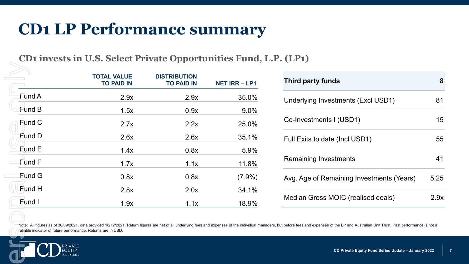### **CD1 LP Performance summary**

|                                                               | <b>TOTAL VALUE</b><br><b>TO PAID IN</b>                                                                                                                                 | <b>DISTRIBUTION</b><br><b>TO PAID IN</b> | <b>NET IRR-LP1</b> | <b>Third pa</b>  |
|---------------------------------------------------------------|-------------------------------------------------------------------------------------------------------------------------------------------------------------------------|------------------------------------------|--------------------|------------------|
| Fund A                                                        | 2.9x                                                                                                                                                                    | 2.9x                                     | 35.0%              | Underlyi         |
| ≸und B                                                        | 1.5x                                                                                                                                                                    | 0.9x                                     | 9.0%               |                  |
| Fund C                                                        | 2.7x                                                                                                                                                                    | 2.2x                                     | 25.0%              | Co-Inves         |
| Fund D                                                        | 2.6x                                                                                                                                                                    | 2.6x                                     | 35.1%              | <b>Full Exit</b> |
| Fund E                                                        | 1.4x                                                                                                                                                                    | 0.8x                                     | 5.9%               |                  |
| Fund F                                                        | 1.7x                                                                                                                                                                    | 1.1x                                     | 11.8%              | Remaini          |
| Fund G                                                        | 0.8x                                                                                                                                                                    | 0.8x                                     | $(7.9\%)$          | Avg. Age         |
| Fund H                                                        | 2.8x                                                                                                                                                                    | 2.0x                                     | 34.1%              |                  |
| Fund I                                                        | 1.9x                                                                                                                                                                    | 1.1x                                     | 18.9%              | Median           |
| reliable indicator of future performance. Returns are in USD. | Note: All figures as of 30/09/2021, data provided 18/12/2021. Return figures are net of all underlying fees and expenses of the individual managers, but before fees an |                                          |                    |                  |

| Third party funds                         | 8    |
|-------------------------------------------|------|
| Underlying Investments (Excl USD1)        | 81   |
| Co-Investments I (USD1)                   | 15   |
| Full Exits to date (Incl USD1)            | 55   |
| Remaining Investments                     | 41   |
| Avg. Age of Remaining Investments (Years) | 5.25 |
| Median Gross MOIC (realised deals)        | 2 9x |

Note: All figures as of 30/09/2021, data provided 18/12/2021. Return figures are net of all underlying fees and expenses of the individual managers, but before fees and expenses of the LP and Australian Unit Trust. Past pe reliable indicator of future performance. Returns are in USD.

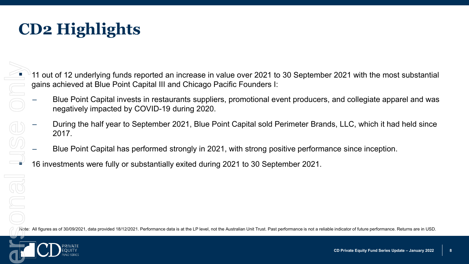- 11 out of 12 underlying funds reported an increase in value over 2021 to 30 September 2021 with the most substantial gains achieved at Blue Point Capital III and Chicago Pacific Founders I:
- ‒ Blue Point Capital invests in restaurants suppliers, promotional event producers, and collegiate apparel and was negatively impacted by COVID-19 during 2020. 11 out of 12 underlying funds reported an increase in value over 2021 to 30 September 2021 with the most substantia<br>
gains achieved at Blue Point Capital III and Chicago Pacific Founders I:<br>
Blue Point Capital invests in r
	- ‒ During the half year to September 2021, Blue Point Capital sold Perimeter Brands, LLC, which it had held since 2017.
	- ‒ Blue Point Capital has performed strongly in 2021, with strong positive performance since inception.
	- 16 investments were fully or substantially exited during 2021 to 30 September 2021.

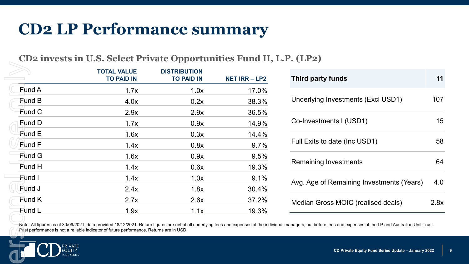### **CD2 LP Performance summary**

### **CD2 invests in U.S. Select Private Opportunities Fund II, L.P. (LP2)**

|                                                      | <b>TOTAL VALUE</b><br><b>TO PAID IN</b>                                                                                                                                                                                          | <b>DISTRIBUTION</b><br><b>TO PAID IN</b> | <b>NET IRR-LP2</b> |
|------------------------------------------------------|----------------------------------------------------------------------------------------------------------------------------------------------------------------------------------------------------------------------------------|------------------------------------------|--------------------|
| Fund A                                               | 1.7x                                                                                                                                                                                                                             | 1.0x                                     | 17.0%              |
| $F$ und B                                            | 4.0x                                                                                                                                                                                                                             | 0.2x                                     | 38.3%              |
| Fund C                                               | 2.9x                                                                                                                                                                                                                             | 2.9x                                     | 36.5%              |
| Fund D                                               | 1.7x                                                                                                                                                                                                                             | 0.9x                                     | 14.9%              |
| Pund E                                               | 1.6x                                                                                                                                                                                                                             | 0.3x                                     | 14.4%              |
| Fund F                                               | 1.4x                                                                                                                                                                                                                             | 0.8x                                     | 9.7%               |
| <b>Fund G</b>                                        | 1.6x                                                                                                                                                                                                                             | 0.9x                                     | 9.5%               |
| Fund H                                               | 1.4x                                                                                                                                                                                                                             | 0.6x                                     | 19.3%              |
| Fund I                                               | 1.4x                                                                                                                                                                                                                             | 1.0x                                     | 9.1%               |
| Fund J                                               | 2.4x                                                                                                                                                                                                                             | 1.8x                                     | 30.4%              |
| Fund K                                               | 2.7x                                                                                                                                                                                                                             | 2.6x                                     | 37.2%              |
| Fund L                                               | 1.9x                                                                                                                                                                                                                             | 1.1x                                     | 19.3%              |
| PRIVATE <sup>I</sup><br>EQU <u>ITY</u><br>UND SERIES | Note: All figures as of 30/09/2021, data provided 18/12/2021. Return figures are net of all underlying fees and expenses of the indiv<br>Past performance is not a reliable indicator of future performance. Returns are in USD. |                                          |                    |

| <b>Third party funds</b>                  | 11   |
|-------------------------------------------|------|
| Underlying Investments (Excl USD1)        | 107  |
| Co-Investments I (USD1)                   | 15   |
| Full Exits to date (Inc USD1)             | 58   |
| <b>Remaining Investments</b>              | 64   |
| Avg. Age of Remaining Investments (Years) | 4.0  |
| Median Gross MOIC (realised deals)        | 2.8x |

Note: All figures as of 30/09/2021, data provided 18/12/2021. Return figures are net of all underlying fees and expenses of the individual managers, but before fees and expenses of the LP and Australian Unit Trust.<br>Past pe

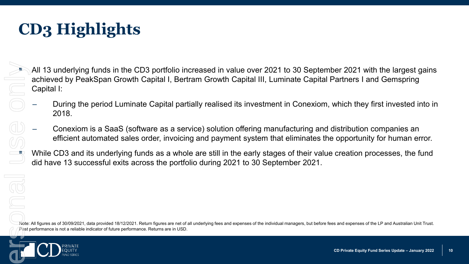# **CD3 Highlights**

 All 13 underlying funds in the CD3 portfolio increased in value over 2021 to 30 September 2021 with the largest gains achieved by PeakSpan Growth Capital I, Bertram Growth Capital III, Luminate Capital Partners I and Gemspring Capital I: Pays are of subsection of the CD3 portfolio in achieved by PeakSpan Growth Capital I, Bert Capital I:<br>
- During the period Luminate Capital par<br>
2018.<br>
- Conexiom is a SaaS (software as a sere efficient automated sales ord

- ‒ During the period Luminate Capital partially realised its investment in Conexiom, which they first invested into in 2018.
- ‒ Conexiom is a SaaS (software as a service) solution offering manufacturing and distribution companies an efficient automated sales order, invoicing and payment system that eliminates the opportunity for human error.

 While CD3 and its underlying funds as a whole are still in the early stages of their value creation processes, the fund did have 13 successful exits across the portfolio during 2021 to 30 September 2021.

Note: All figures as of 30/09/2021, data provided 18/12/2021. Return figures are net of all underlying fees and expenses of the individual managers, but before fees and expenses of the LP and Australian Unit Trust.

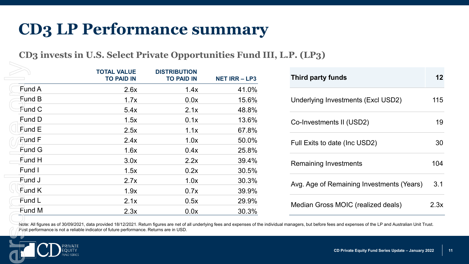### **CD3 LP Performance summary**

**CD3 invests in U.S. Select Private Opportunities Fund III, L.P. (LP3)**

| Third party funds                         | 12   |
|-------------------------------------------|------|
| Underlying Investments (Excl USD2)        | 115  |
| Co-Investments II (USD2)                  | 19   |
| Full Exits to date (Inc USD2)             | 30   |
| Remaining Investments                     | 104  |
| Avg. Age of Remaining Investments (Years) | 3.1  |
| Median Gross MOIC (realized deals)        | 2 3x |

Note: All figures as of 30/09/2021, data provided 18/12/2021. Return figures are net of all underlying fees and expenses of the individual managers, but before fees and expenses of the LP and Australian Unit Trust.<br>Past pe

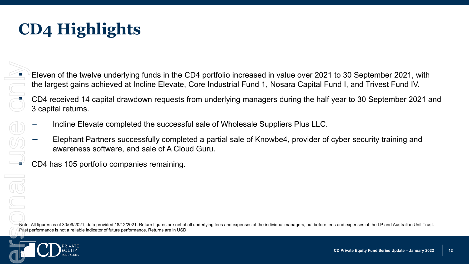Eleven of the twelve underlying funds in the CD4 portfolio increased in value over 2021 to 30 September 2021, with the largest gains achieved at Incline Elevate, Core Industrial Fund 1, Nosara Capital Fund I, and Trivest Fund IV. Past performance is not a reliable indicator of future performance. Returns are in USD.<br> **CD4** received 14 capital drawdown requests 1<br>
3 capital returns.<br>
— Incline Elevate completed the successfully comple<br>
— Elephant Pa

 CD4 received 14 capital drawdown requests from underlying managers during the half year to 30 September 2021 and 3 capital returns.

- ‒ Incline Elevate completed the successful sale of Wholesale Suppliers Plus LLC.
- ‒ Elephant Partners successfully completed a partial sale of Knowbe4, provider of cyber security training and awareness software, and sale of A Cloud Guru.

CD4 has 105 portfolio companies remaining.

Note: All figures as of 30/09/2021, data provided 18/12/2021. Return figures are net of all underlying fees and expenses of the individual managers, but before fees and expenses of the LP and Australian Unit Trust.

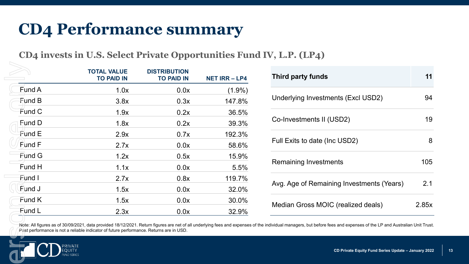### **CD4 Performance summary**

**CD4 invests in U.S. Select Private Opportunities Fund IV, L.P. (LP4)**

|                                                                                                                                                                                                                                               | <b>TOTAL VALUE</b><br><b>TO PAID IN</b> | <b>DISTRIBUTION</b><br><b>TO PAID IN</b> | <b>NET IRR-LP4</b> |
|-----------------------------------------------------------------------------------------------------------------------------------------------------------------------------------------------------------------------------------------------|-----------------------------------------|------------------------------------------|--------------------|
| Fund A                                                                                                                                                                                                                                        | 1.0x                                    | 0.0x                                     | $(1.9\%)$          |
| Fund B                                                                                                                                                                                                                                        | 3.8x                                    | 0.3x                                     | 147.8%             |
| Fund C                                                                                                                                                                                                                                        | 1.9x                                    | 0.2x                                     | 36.5%              |
| Fund D                                                                                                                                                                                                                                        | 1.8x                                    | 0.2x                                     | 39.3%              |
| $F$ und E                                                                                                                                                                                                                                     | 2.9x                                    | 0.7x                                     | 192.3%             |
| Fund F                                                                                                                                                                                                                                        | 2.7x                                    | 0.0x                                     | 58.6%              |
| <b>Fund G</b>                                                                                                                                                                                                                                 | 1.2x                                    | 0.5x                                     | 15.9%              |
| Fund H                                                                                                                                                                                                                                        | 1.1x                                    | 0.0x                                     | 5.5%               |
| Fund I                                                                                                                                                                                                                                        | 2.7x                                    | 0.8x                                     | 119.7%             |
| Fund J                                                                                                                                                                                                                                        | 1.5x                                    | 0.0x                                     | 32.0%              |
| Fund K                                                                                                                                                                                                                                        | 1.5x                                    | 0.0x                                     | 30.0%              |
| Fund L                                                                                                                                                                                                                                        | 2.3x                                    | 0.0x                                     | 32.9%              |
| Note: All figures as of 30/09/2021, data provided 18/12/2021. Return figures are net of all underlying fees and expenses<br>Past performance is not a reliable indicator of future performance. Returns are in USD.<br>PRIVATE<br><b>EQUI</b> |                                         |                                          |                    |

| Third party funds                         |       |
|-------------------------------------------|-------|
| Underlying Investments (Excl USD2)        | 94    |
| Co-Investments II (USD2)                  | 19    |
| Full Exits to date (Inc USD2)             | 8     |
| Remaining Investments                     | 105   |
| Avg. Age of Remaining Investments (Years) | 2.1   |
| Median Gross MOIC (realized deals)        | 2.85x |

Note: All figures as of 30/09/2021, data provided 18/12/2021. Return figures are net of all underlying fees and expenses of the individual managers, but before fees and expenses of the LP and Australian Unit Trust.<br>Past pe

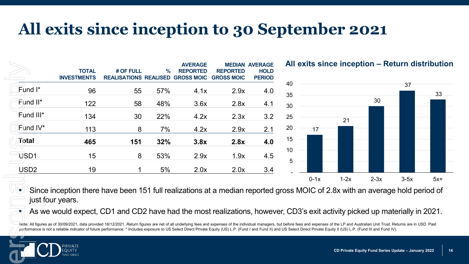### **All exits since inception to 30 September 2021**

|                                      | <b>TOTAL</b><br><b>INVESTMENTS</b>                                                                                                                                 | # OF FULL<br><b>REALISATIONS REALISED GROSS MOIC</b> | $\%$ | <b>AVERAGE</b><br><b>REPORTED</b> | <b>REPORTED</b><br><b>GROSS MOIC</b> | <b>MEDIAN AVERAGE</b><br><b>HOLD</b><br><b>PERIOD</b> |
|--------------------------------------|--------------------------------------------------------------------------------------------------------------------------------------------------------------------|------------------------------------------------------|------|-----------------------------------|--------------------------------------|-------------------------------------------------------|
| Fund I*                              | 96                                                                                                                                                                 | 55                                                   | 57%  | 4.1x                              | 2.9x                                 | 4.0                                                   |
| Fund II*                             | 122                                                                                                                                                                | 58                                                   | 48%  | 3.6x                              | 2.8x                                 | 4.1                                                   |
| Fund III*                            | 134                                                                                                                                                                | 30                                                   | 22%  | 4.2x                              | 2.3x                                 | 3.2                                                   |
| Fund $IV^*$                          | 113                                                                                                                                                                | 8                                                    | 7%   | 4.2x                              | 2.9x                                 | 2.1                                                   |
| Total                                | 465                                                                                                                                                                | 151                                                  | 32%  | 3.8x                              | 2.8x                                 | 4.0                                                   |
|                                      |                                                                                                                                                                    | 8                                                    | 53%  | 2.9x                              | 1.9x                                 | 4.5                                                   |
| USD1                                 | 15                                                                                                                                                                 |                                                      |      |                                   |                                      |                                                       |
| USD <sub>2</sub><br>just four years. | 19<br>Since inception there have been 151 full realizations at a median reported groes<br>As we would expect, CD1 and CD2 have had the most realizations, however, |                                                      | 5%   | 2.0x                              | 2.0x                                 | 3.4                                                   |

**All exits since inception – Return distribution**



 Since inception there have been 151 full realizations at a median reported gross MOIC of 2.8x with an average hold period of just four years.

As we would expect, CD1 and CD2 have had the most realizations, however, CD3's exit activity picked up materially in 2021.

Note: All figures as of 30/09/2021, data provided 18/12/2021. Return figures are net of all underlying fees and expenses of the individual managers, but before fees and expenses of the LP and Australian Unit Trust. Returns performance is not a reliable indicator of future performance. \* Includes exposure to US Select Direct Private Equity (US) L.P. (Fund I and Fund II) and US Select Direct Private Equity II (US) L.P. (Fund III and Fund IV).

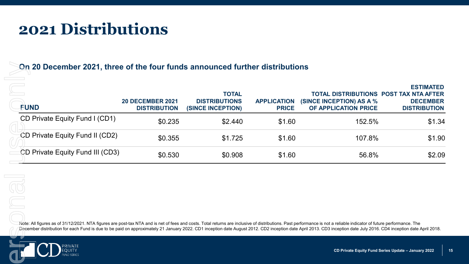### **2021 Distributions**

#### **On 20 December 2021, three of the four funds announced further distributions**

| FUND                                                                                                                                                                                                                                         | <b>20 DECEMBER 2021</b><br><b>DISTRIBUTION</b> | <b>TOTAL</b><br><b>DISTRIBUTIONS</b><br>(SINCE INCEPTION) | <b>APPLICATION</b><br><b>PRICE</b> | <b>TOTAL DISTRIBUTIONS POST TAX NTA AFTER</b><br>(SINCE INCEPTION) AS A %<br>OF APPLICATION PRICE | <b>ESTIMATED</b><br><b>DECEMBER</b><br><b>DISTRIBUTION</b> |
|----------------------------------------------------------------------------------------------------------------------------------------------------------------------------------------------------------------------------------------------|------------------------------------------------|-----------------------------------------------------------|------------------------------------|---------------------------------------------------------------------------------------------------|------------------------------------------------------------|
| CD Private Equity Fund I (CD1)                                                                                                                                                                                                               | \$0.235                                        | \$2.440                                                   | \$1.60                             | 152.5%                                                                                            | \$1.34                                                     |
| CD Private Equity Fund II (CD2)                                                                                                                                                                                                              | \$0.355                                        | \$1.725                                                   | \$1.60                             | 107.8%                                                                                            | \$1.90                                                     |
| CD Private Equity Fund III (CD3)                                                                                                                                                                                                             | \$0.530                                        | \$0.908                                                   | \$1.60                             | 56.8%                                                                                             | \$2.09                                                     |
| $\overline{\subset}$<br>Note: All figures as of 31/12/2021. NTA figures are post-tax NTA and is net of fees and costs. Total returns are inclusive of distributions. Past performance is not a reliable indicator of future performance. The |                                                |                                                           |                                    |                                                                                                   |                                                            |